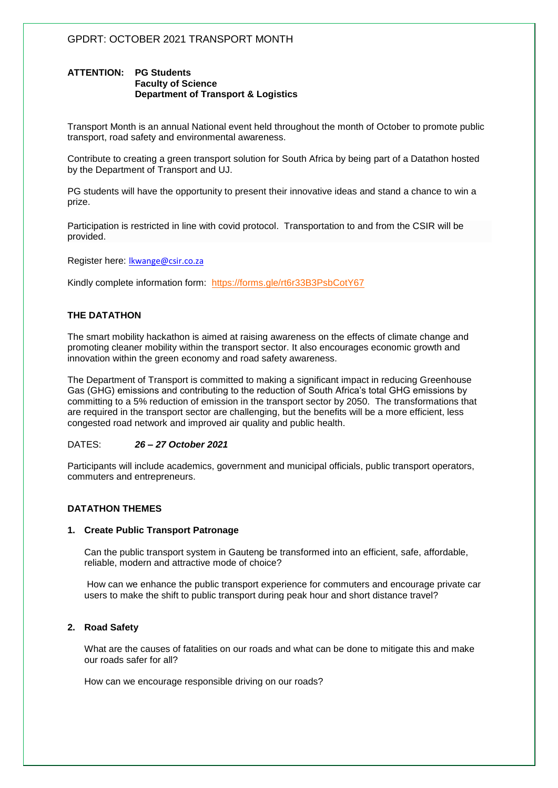## **ATTENTION: PG Students Faculty of Science Department of Transport & Logistics**

Transport Month is an annual National event held throughout the month of October to promote public transport, road safety and environmental awareness.

Contribute to creating a green transport solution for South Africa by being part of a Datathon hosted by the Department of Transport and UJ.

PG students will have the opportunity to present their innovative ideas and stand a chance to win a prize.

Participation is restricted in line with covid protocol. Transportation to and from the CSIR will be provided.

Register here: [lkwange@csir.co.za](mailto:lkwange@csir.co.za)

Kindly complete information form: <https://forms.gle/rt6r33B3PsbCotY67>

## **THE DATATHON**

The smart mobility hackathon is aimed at raising awareness on the effects of climate change and promoting cleaner mobility within the transport sector. It also encourages economic growth and innovation within the green economy and road safety awareness.

The Department of Transport is committed to making a significant impact in reducing Greenhouse Gas (GHG) emissions and contributing to the reduction of South Africa's total GHG emissions by committing to a 5% reduction of emission in the transport sector by 2050. The transformations that are required in the transport sector are challenging, but the benefits will be a more efficient, less congested road network and improved air quality and public health.

### DATES: *26 – 27 October 2021*

Participants will include academics, government and municipal officials, public transport operators, commuters and entrepreneurs.

### **DATATHON THEMES**

### **1. Create Public Transport Patronage**

Can the public transport system in Gauteng be transformed into an efficient, safe, affordable, reliable, modern and attractive mode of choice?

How can we enhance the public transport experience for commuters and encourage private car users to make the shift to public transport during peak hour and short distance travel?

### **2. Road Safety**

What are the causes of fatalities on our roads and what can be done to mitigate this and make our roads safer for all?

How can we encourage responsible driving on our roads?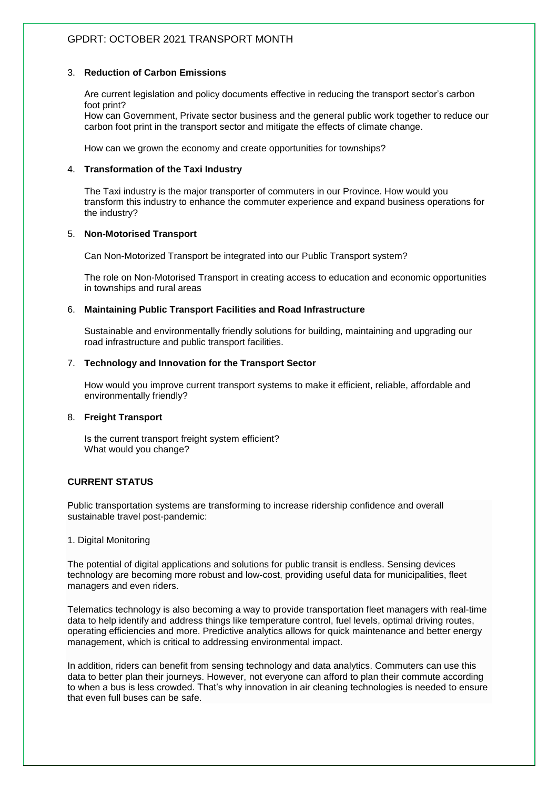# GPDRT: OCTOBER 2021 TRANSPORT MONTH

## 3. **Reduction of Carbon Emissions**

Are current legislation and policy documents effective in reducing the transport sector's carbon foot print?

How can Government, Private sector business and the general public work together to reduce our carbon foot print in the transport sector and mitigate the effects of climate change.

How can we grown the economy and create opportunities for townships?

## 4. **Transformation of the Taxi Industry**

The Taxi industry is the major transporter of commuters in our Province. How would you transform this industry to enhance the commuter experience and expand business operations for the industry?

## 5. **Non-Motorised Transport**

Can Non-Motorized Transport be integrated into our Public Transport system?

The role on Non-Motorised Transport in creating access to education and economic opportunities in townships and rural areas

## 6. **Maintaining Public Transport Facilities and Road Infrastructure**

Sustainable and environmentally friendly solutions for building, maintaining and upgrading our road infrastructure and public transport facilities.

## 7. **Technology and Innovation for the Transport Sector**

How would you improve current transport systems to make it efficient, reliable, affordable and environmentally friendly?

### 8. **Freight Transport**

Is the current transport freight system efficient? What would you change?

## **CURRENT STATUS**

Public transportation systems are transforming to increase ridership confidence and overall sustainable travel post-pandemic:

### 1. Digital Monitoring

The potential of digital applications and solutions for public transit is endless. Sensing devices technology are becoming more robust and low-cost, providing useful data for municipalities, fleet managers and even riders.

Telematics technology is also becoming a way to [provide transportation fleet managers with real-time](https://www.fleetequipmentmag.com/trust-truck-data-solutions/)  [data](https://www.fleetequipmentmag.com/trust-truck-data-solutions/) to help identify and address things like temperature control, fuel levels, optimal driving routes, operating efficiencies and more. Predictive analytics allows for quick maintenance and better energy management, which is critical to addressing environmental impact.

In addition, riders can benefit from sensing technology and data analytics. Commuters can use this data to better plan their journeys. However, not everyone can afford to plan their commute according to when a bus is less crowded. That's why innovation in air cleaning technologies is needed to ensure that even full buses can be safe.